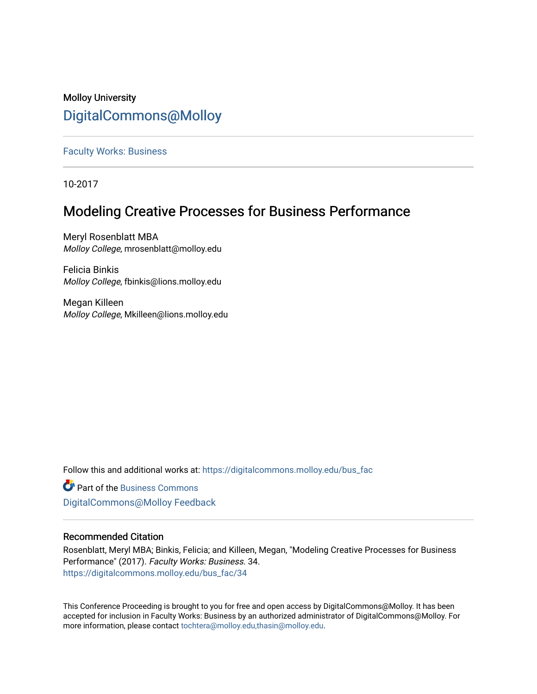## Molloy University [DigitalCommons@Molloy](https://digitalcommons.molloy.edu/)

[Faculty Works: Business](https://digitalcommons.molloy.edu/bus_fac) 

10-2017

# Modeling Creative Processes for Business Performance

Meryl Rosenblatt MBA Molloy College, mrosenblatt@molloy.edu

Felicia Binkis Molloy College, fbinkis@lions.molloy.edu

Megan Killeen Molloy College, Mkilleen@lions.molloy.edu

Follow this and additional works at: [https://digitalcommons.molloy.edu/bus\\_fac](https://digitalcommons.molloy.edu/bus_fac?utm_source=digitalcommons.molloy.edu%2Fbus_fac%2F34&utm_medium=PDF&utm_campaign=PDFCoverPages)

**C** Part of the [Business Commons](https://network.bepress.com/hgg/discipline/622?utm_source=digitalcommons.molloy.edu%2Fbus_fac%2F34&utm_medium=PDF&utm_campaign=PDFCoverPages) [DigitalCommons@Molloy Feedback](https://molloy.libwizard.com/f/dcfeedback)

## Recommended Citation

Rosenblatt, Meryl MBA; Binkis, Felicia; and Killeen, Megan, "Modeling Creative Processes for Business Performance" (2017). Faculty Works: Business. 34. [https://digitalcommons.molloy.edu/bus\\_fac/34](https://digitalcommons.molloy.edu/bus_fac/34?utm_source=digitalcommons.molloy.edu%2Fbus_fac%2F34&utm_medium=PDF&utm_campaign=PDFCoverPages) 

This Conference Proceeding is brought to you for free and open access by DigitalCommons@Molloy. It has been accepted for inclusion in Faculty Works: Business by an authorized administrator of DigitalCommons@Molloy. For more information, please contact [tochtera@molloy.edu,thasin@molloy.edu.](mailto:tochtera@molloy.edu,thasin@molloy.edu)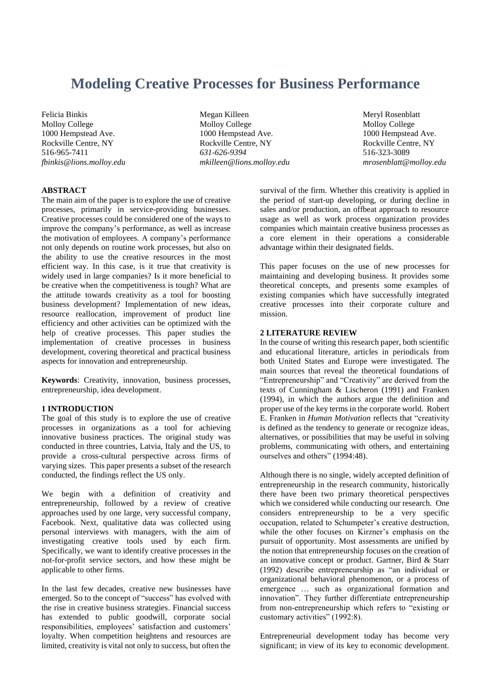# **Modeling Creative Processes for Business Performance**

Felicia Binkis Molloy College 1000 Hempstead Ave. Rockville Centre, NY 516-965-7411 *fbinkis@lions.molloy.edu*

 Megan Killeen Molloy College 1000 Hempstead Ave. Rockville Centre, NY  *631-626-9394 mkilleen@lions.molloy.edu*

Meryl Rosenblatt Molloy College 1000 Hempstead Ave. Rockville Centre, NY 516-323-3089 *mrosenblatt@molloy.edu*

## **ABSTRACT**

The main aim of the paper is to explore the use of creative processes, primarily in service-providing businesses. Creative processes could be considered one of the ways to improve the company's performance, as well as increase the motivation of employees. A company's performance not only depends on routine work processes, but also on the ability to use the creative resources in the most efficient way. In this case, is it true that creativity is widely used in large companies? Is it more beneficial to be creative when the competitiveness is tough? What are the attitude towards creativity as a tool for boosting business development? Implementation of new ideas, resource reallocation, improvement of product line efficiency and other activities can be optimized with the help of creative processes. This paper studies the implementation of creative processes in business development, covering theoretical and practical business aspects for innovation and entrepreneurship.

**Keywords**: Creativity, innovation, business processes, entrepreneurship, idea development.

#### **1 INTRODUCTION**

The goal of this study is to explore the use of creative processes in organizations as a tool for achieving innovative business practices. The original study was conducted in three countries, Latvia, Italy and the US, to provide a cross-cultural perspective across firms of varying sizes. This paper presents a subset of the research conducted, the findings reflect the US only.

We begin with a definition of creativity and entrepreneurship, followed by a review of creative approaches used by one large, very successful company, Facebook. Next, qualitative data was collected using personal interviews with managers, with the aim of investigating creative tools used by each firm. Specifically, we want to identify creative processes in the not-for-profit service sectors, and how these might be applicable to other firms.

In the last few decades, creative new businesses have emerged. So to the concept of "success" has evolved with the rise in creative business strategies. Financial success has extended to public goodwill, corporate social responsibilities, employees' satisfaction and customers' loyalty. When competition heightens and resources are limited, creativity is vital not only to success, but often the

survival of the firm. Whether this creativity is applied in the period of start-up developing, or during decline in sales and/or production, an offbeat approach to resource usage as well as work process organization provides companies which maintain creative business processes as a core element in their operations a considerable advantage within their designated fields.

This paper focuses on the use of new processes for maintaining and developing business. It provides some theoretical concepts, and presents some examples of existing companies which have successfully integrated creative processes into their corporate culture and mission.

#### **2 LITERATURE REVIEW**

In the course of writing this research paper, both scientific and educational literature, articles in periodicals from both United States and Europe were investigated. The main sources that reveal the theoretical foundations of "Entrepreneurship" and "Creativity" are derived from the texts of Cunningham & Lischeron (1991) and Franken (1994), in which the authors argue the definition and proper use of the key terms in the corporate world. Robert E. Franken in *Human Motivation* reflects that "creativity is defined as the tendency to generate or recognize ideas, alternatives, or possibilities that may be useful in solving problems, communicating with others, and entertaining ourselves and others" (1994:48).

Although there is no single, widely accepted definition of entrepreneurship in the research community, historically there have been two primary theoretical perspectives which we considered while conducting our research. One considers entrepreneurship to be a very specific occupation, related to Schumpeter's creative destruction, while the other focuses on Kirzner's emphasis on the pursuit of opportunity. Most assessments are unified by the notion that entrepreneurship focuses on the creation of an innovative concept or product. Gartner, Bird & Starr (1992) describe entrepreneurship as "an individual or organizational behavioral phenomenon, or a process of emergence … such as organizational formation and innovation". They further differentiate entrepreneurship from non-entrepreneurship which refers to "existing or customary activities" (1992:8).

Entrepreneurial development today has become very significant; in view of its key to economic development.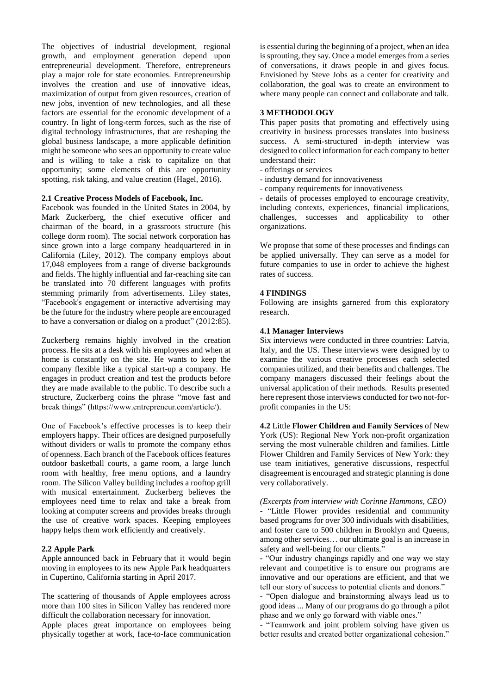The objectives of industrial development, regional growth, and employment generation depend upon entrepreneurial development. Therefore, entrepreneurs play a major role for state economies. Entrepreneurship involves the creation and use of innovative ideas, maximization of output from given resources, creation of new jobs, invention of new technologies, and all these factors are essential for the economic development of a country. In light of long-term forces, such as the rise of digital technology infrastructures, that are reshaping the global business landscape, a more applicable definition might be someone who sees an opportunity to create value and is willing to take a risk to capitalize on that opportunity; some elements of this are opportunity spotting, risk taking, and value creation (Hagel, 2016).

#### **2.1 Creative Process Models of Facebook, Inc.**

Facebook was founded in the United States in 2004, by Mark Zuckerberg, the chief executive officer and chairman of the board, in a grassroots structure (his college dorm room). The social network corporation has since grown into a large company headquartered in in California (Liley, 2012). The company employs about 17,048 employees from a range of diverse backgrounds and fields. The highly influential and far-reaching site can be translated into 70 different languages with profits stemming primarily from advertisements. Liley states, "Facebook's engagement or interactive advertising may be the future for the industry where people are encouraged to have a conversation or dialog on a product" (2012:85).

Zuckerberg remains highly involved in the creation process. He sits at a desk with his employees and when at home is constantly on the site. He wants to keep the company flexible like a typical start-up a company. He engages in product creation and test the products before they are made available to the public. To describe such a structure, Zuckerberg coins the phrase "move fast and break things" (https://www.entrepreneur.com/article/).

One of Facebook's effective processes is to keep their employers happy. Their offices are designed purposefully without dividers or walls to promote the company ethos of openness. Each branch of the Facebook offices features outdoor basketball courts, a game room, a large lunch room with healthy, free menu options, and a laundry room. The Silicon Valley building includes a rooftop grill with musical entertainment. Zuckerberg believes the employees need time to relax and take a break from looking at computer screens and provides breaks through the use of creative work spaces. Keeping employees happy helps them work efficiently and creatively.

#### **2.2 Apple Park**

Apple [announced back in February](https://9to5mac.com/2017/02/22/apple-park-apple-campus-2-official-name-opening/) that it would begin moving in employees to its new Apple Park headquarters in Cupertino, California starting in April 2017.

The scattering of thousands of Apple employees across more than 100 sites in Silicon Valley has rendered more difficult the collaboration necessary for innovation. Apple places great importance on employees being physically together at work, face-to-face communication is essential during the beginning of a project, when an idea is sprouting, they say. Once a model emerges from a series of conversations, it draws people in and gives focus. Envisioned by Steve Jobs as a center for creativity and collaboration, the goal was to create an environment to where many people can connect and collaborate and talk.

#### **3 METHODOLOGY**

This paper posits that promoting and effectively using creativity in business processes translates into business success. A semi-structured in-depth interview was designed to collect information for each company to better understand their:

- offerings or services
- industry demand for innovativeness
- company requirements for innovativeness

- details of processes employed to encourage creativity, including contexts, experiences, financial implications, challenges, successes and applicability to other organizations.

We propose that some of these processes and findings can be applied universally. They can serve as a model for future companies to use in order to achieve the highest rates of success.

### **4 FINDINGS**

Following are insights garnered from this exploratory research.

#### **4.1 Manager Interviews**

Six interviews were conducted in three countries: Latvia, Italy, and the US. These interviews were designed by to examine the various creative processes each selected companies utilized, and their benefits and challenges. The company managers discussed their feelings about the universal application of their methods. Results presented here represent those interviews conducted for two not-forprofit companies in the US:

**4.2** Little **Flower Children and Family Services** of New York (US): Regional New York non-profit organization serving the most vulnerable children and families. Little Flower Children and Family Services of New York: they use team initiatives, generative discussions, respectful disagreement is encouraged and strategic planning is done very collaboratively.

*(Excerpts from interview with Corinne Hammons, CEO)*

- "Little Flower provides residential and community based programs for over 300 individuals with disabilities, and foster care to 500 children in Brooklyn and Queens, among other services… our ultimate goal is an increase in safety and well-being for our clients."

- "Our industry changings rapidly and one way we stay relevant and competitive is to ensure our programs are innovative and our operations are efficient, and that we tell our story of success to potential clients and donors."

- "Open dialogue and brainstorming always lead us to good ideas ... Many of our programs do go through a pilot phase and we only go forward with viable ones."

- "Teamwork and joint problem solving have given us better results and created better organizational cohesion."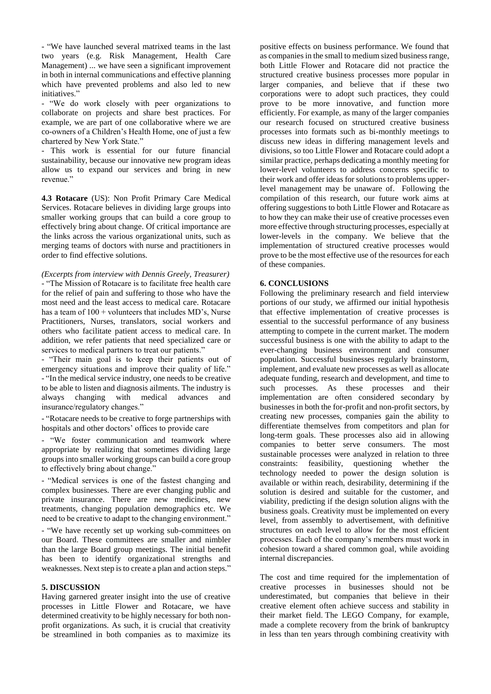- "We have launched several matrixed teams in the last two years (e.g. Risk Management, Health Care Management) ... we have seen a significant improvement in both in internal communications and effective planning which have prevented problems and also led to new initiatives."

- "We do work closely with peer organizations to collaborate on projects and share best practices. For example, we are part of one collaborative where we are co-owners of a Children's Health Home, one of just a few chartered by New York State."

- This work is essential for our future financial sustainability, because our innovative new program ideas allow us to expand our services and bring in new revenue."

**4.3 Rotacare** (US): Non Profit Primary Care Medical Services. Rotacare believes in dividing large groups into smaller working groups that can build a core group to effectively bring about change. Of critical importance are the links across the various organizational units, such as merging teams of doctors with nurse and practitioners in order to find effective solutions.

*(Excerpts from interview with Dennis Greely, Treasurer)* - "The Mission of Rotacare is to facilitate free health care for the relief of pain and suffering to those who have the most need and the least access to medical care. Rotacare has a team of  $100 +$  volunteers that includes MD's, Nurse Practitioners, Nurses, translators, social workers and others who facilitate patient access to medical care. In addition, we refer patients that need specialized care or services to medical partners to treat our patients."

- "Their main goal is to keep their patients out of emergency situations and improve their quality of life." - "In the medical service industry, one needs to be creative to be able to listen and diagnosis ailments. The industry is always changing with medical advances and insurance/regulatory changes."

- "Rotacare needs to be creative to forge partnerships with hospitals and other doctors' offices to provide care

- "We foster communication and teamwork where appropriate by realizing that sometimes dividing large groups into smaller working groups can build a core group to effectively bring about change."

- "Medical services is one of the fastest changing and complex businesses. There are ever changing public and private insurance. There are new medicines, new treatments, changing population demographics etc. We need to be creative to adapt to the changing environment."

- "We have recently set up working sub-committees on our Board. These committees are smaller and nimbler than the large Board group meetings. The initial benefit has been to identify organizational strengths and weaknesses. Next step is to create a plan and action steps."

#### **5. DISCUSSION**

Having garnered greater insight into the use of creative processes in Little Flower and Rotacare, we have determined creativity to be highly necessary for both nonprofit organizations. As such, it is crucial that creativity be streamlined in both companies as to maximize its

positive effects on business performance. We found that as companies in the small to medium sized business range, both Little Flower and Rotacare did not practice the structured creative business processes more popular in larger companies, and believe that if these two corporations were to adopt such practices, they could prove to be more innovative, and function more efficiently. For example, as many of the larger companies our research focused on structured creative business processes into formats such as bi-monthly meetings to discuss new ideas in differing management levels and divisions, so too Little Flower and Rotacare could adopt a similar practice, perhaps dedicating a monthly meeting for lower-level volunteers to address concerns specific to their work and offer ideas for solutions to problems upperlevel management may be unaware of. Following the compilation of this research, our future work aims at offering suggestions to both Little Flower and Rotacare as to how they can make their use of creative processes even more effective through structuring processes, especially at lower-levels in the company. We believe that the implementation of structured creative processes would prove to be the most effective use of the resources for each of these companies.

#### **6. CONCLUSIONS**

Following the preliminary research and field interview portions of our study, we affirmed our initial hypothesis that effective implementation of creative processes is essential to the successful performance of any business attempting to compete in the current market. The modern successful business is one with the ability to adapt to the ever-changing business environment and consumer population. Successful businesses regularly brainstorm, implement, and evaluate new processes as well as allocate adequate funding, research and development, and time to such processes. As these processes and their implementation are often considered secondary by businesses in both the for-profit and non-profit sectors, by creating new processes, companies gain the ability to differentiate themselves from competitors and plan for long-term goals. These processes also aid in allowing companies to better serve consumers. The most sustainable processes were analyzed in relation to three constraints: feasibility, questioning whether the technology needed to power the design solution is available or within reach, desirability, determining if the solution is desired and suitable for the customer, and viability, predicting if the design solution aligns with the business goals. Creativity must be implemented on every level, from assembly to advertisement, with definitive structures on each level to allow for the most efficient processes. Each of the company's members must work in cohesion toward a shared common goal, while avoiding internal discrepancies.

The cost and time required for the implementation of creative processes in businesses should not be underestimated, but companies that believe in their creative element often achieve success and stability in their market field. The LEGO Company, for example, made a complete recovery from the brink of bankruptcy in less than ten years through combining creativity with